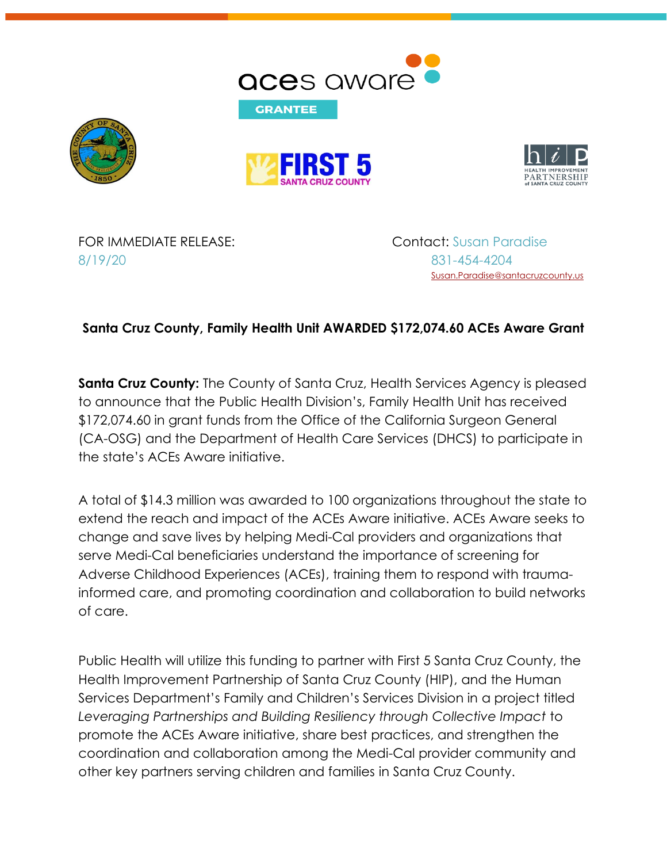







FOR IMMEDIATE RELEASE: Contact: Susan Paradise 8/19/20 831-454-4204

[Susan.Paradise@santacruzcounty.us](mailto:Susan.Paradise@santacruzcounty.us)

## **Santa Cruz County, Family Health Unit AWARDED \$172,074.60 ACEs Aware Grant**

**Santa Cruz County:** The County of Santa Cruz, Health Services Agency is pleased to announce that the Public Health Division's, Family Health Unit has received \$172,074.60 in grant funds from the Office of the California Surgeon General (CA-OSG) and the Department of Health Care Services (DHCS) to participate in the state's ACEs Aware initiative.

A total of \$14.3 million was awarded to 100 organizations throughout the state to extend the reach and impact of the ACEs Aware initiative. ACEs Aware seeks to change and save lives by helping Medi-Cal providers and organizations that serve Medi-Cal beneficiaries understand the importance of screening for Adverse Childhood Experiences (ACEs), training them to respond with traumainformed care, and promoting coordination and collaboration to build networks of care.

Public Health will utilize this funding to partner with First 5 Santa Cruz County, the Health Improvement Partnership of Santa Cruz County (HIP), and the Human Services Department's Family and Children's Services Division in a project titled *Leveraging Partnerships and Building Resiliency through Collective Impact* to promote the ACEs Aware initiative, share best practices, and strengthen the coordination and collaboration among the Medi-Cal provider community and other key partners serving children and families in Santa Cruz County.